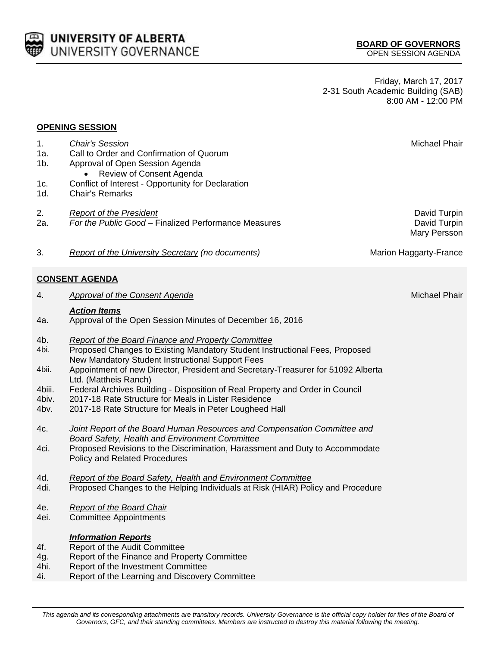| This agenda and its corresponding attachments are transitory records. University Governance is the official copy holder for files of the Board of |  |
|---------------------------------------------------------------------------------------------------------------------------------------------------|--|
| Governors, GFC, and their standing committees. Members are instructed to destroy this material following the meeting.                             |  |

Friday, March 17, 2017 2-31 South Academic Building (SAB) 8:00 AM - 12:00 PM

### **OPENING SESSION**

| 1.<br>1a.<br>1b.<br>1c.<br>1d. | <b>Chair's Session</b><br>Call to Order and Confirmation of Quorum<br>Approval of Open Session Agenda<br>Review of Consent Agenda<br>Conflict of Interest - Opportunity for Declaration<br><b>Chair's Remarks</b> | <b>Michael Phair</b>                         |
|--------------------------------|-------------------------------------------------------------------------------------------------------------------------------------------------------------------------------------------------------------------|----------------------------------------------|
| 2.<br>2a.                      | <b>Report of the President</b><br>For the Public Good - Finalized Performance Measures                                                                                                                            | David Turpin<br>David Turpin<br>Mary Persson |
| 3.                             | <b>Report of the University Secretary (no documents)</b>                                                                                                                                                          | <b>Marion Haggarty-France</b>                |
|                                | <b>CONSENT AGENDA</b>                                                                                                                                                                                             |                                              |
| 4.                             | <b>Approval of the Consent Agenda</b>                                                                                                                                                                             | <b>Michael Phair</b>                         |
| 4a.                            | <b>Action Items</b><br>Approval of the Open Session Minutes of December 16, 2016                                                                                                                                  |                                              |
| 4b.<br>4bi.                    | <b>Report of the Board Finance and Property Committee</b><br>Proposed Changes to Existing Mandatory Student Instructional Fees, Proposed<br>New Mandatory Student Instructional Support Fees                      |                                              |
| 4bii.                          | Appointment of new Director, President and Secretary-Treasurer for 51092 Alberta<br>Ltd. (Mattheis Ranch)                                                                                                         |                                              |
| 4biii.<br>4biv.                | Federal Archives Building - Disposition of Real Property and Order in Council<br>2017-18 Rate Structure for Meals in Lister Residence                                                                             |                                              |
| 4bv.                           | 2017-18 Rate Structure for Meals in Peter Lougheed Hall                                                                                                                                                           |                                              |
| 4c.                            | <b>Joint Report of the Board Human Resources and Compensation Committee and</b><br><b>Board Safety, Health and Environment Committee</b>                                                                          |                                              |
| 4ci.                           | Proposed Revisions to the Discrimination, Harassment and Duty to Accommodate<br><b>Policy and Related Procedures</b>                                                                                              |                                              |
| 4d.<br>4di.                    | <b>Report of the Board Safety, Health and Environment Committee</b><br>Proposed Changes to the Helping Individuals at Risk (HIAR) Policy and Procedure                                                            |                                              |
| 4e.                            | <b>Report of the Board Chair</b>                                                                                                                                                                                  |                                              |
| 4ei.                           | <b>Committee Appointments</b>                                                                                                                                                                                     |                                              |
| 4f.                            | <b>Information Reports</b><br>Report of the Audit Committee                                                                                                                                                       |                                              |
| 4g.                            | Report of the Finance and Property Committee                                                                                                                                                                      |                                              |
| 4hi.<br>4i.                    | Report of the Investment Committee<br>Report of the Learning and Discovery Committee                                                                                                                              |                                              |
|                                |                                                                                                                                                                                                                   |                                              |